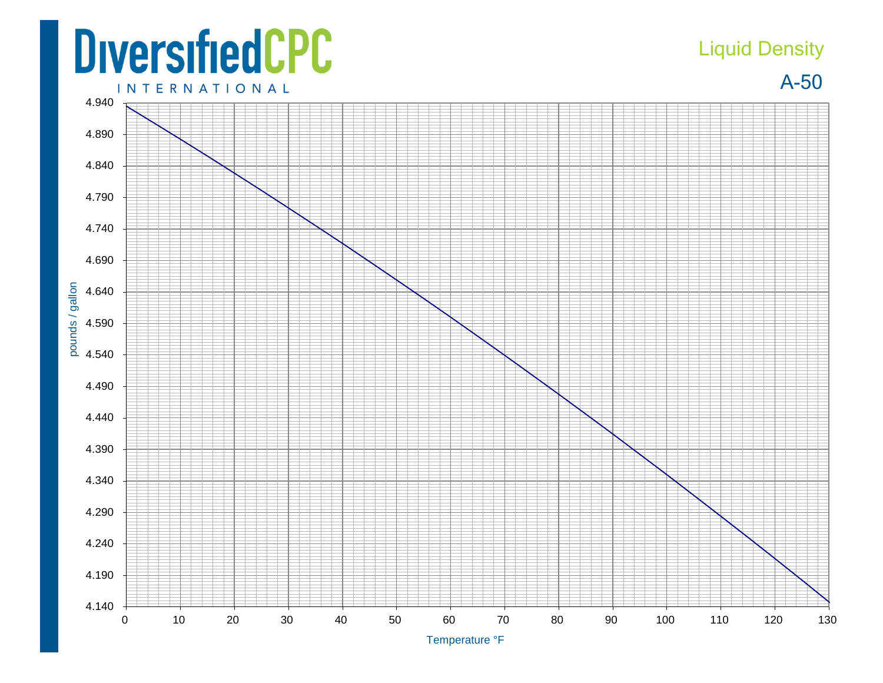## **DiversifiedCPC**

## Liquid Density





Temperature °F